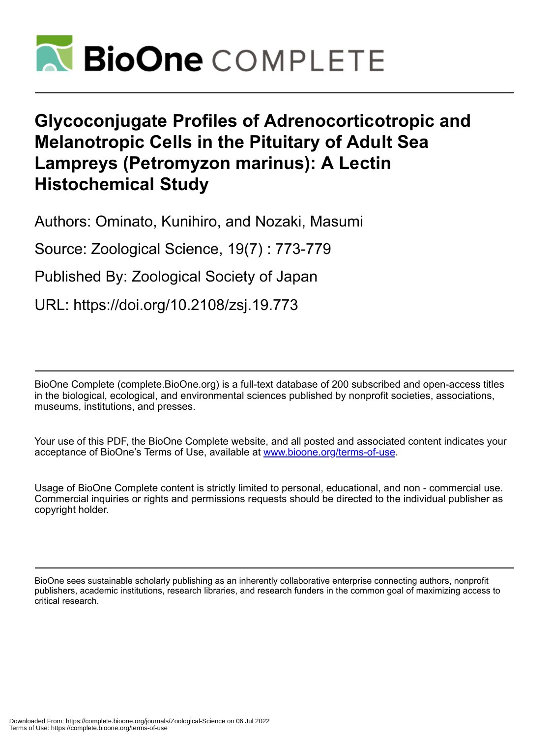

# **Glycoconjugate Profiles of Adrenocorticotropic and Melanotropic Cells in the Pituitary of Adult Sea Lampreys (Petromyzon marinus): A Lectin Histochemical Study**

Authors: Ominato, Kunihiro, and Nozaki, Masumi

Source: Zoological Science, 19(7) : 773-779

Published By: Zoological Society of Japan

URL: https://doi.org/10.2108/zsj.19.773

BioOne Complete (complete.BioOne.org) is a full-text database of 200 subscribed and open-access titles in the biological, ecological, and environmental sciences published by nonprofit societies, associations, museums, institutions, and presses.

Your use of this PDF, the BioOne Complete website, and all posted and associated content indicates your acceptance of BioOne's Terms of Use, available at www.bioone.org/terms-of-use.

Usage of BioOne Complete content is strictly limited to personal, educational, and non - commercial use. Commercial inquiries or rights and permissions requests should be directed to the individual publisher as copyright holder.

BioOne sees sustainable scholarly publishing as an inherently collaborative enterprise connecting authors, nonprofit publishers, academic institutions, research libraries, and research funders in the common goal of maximizing access to critical research.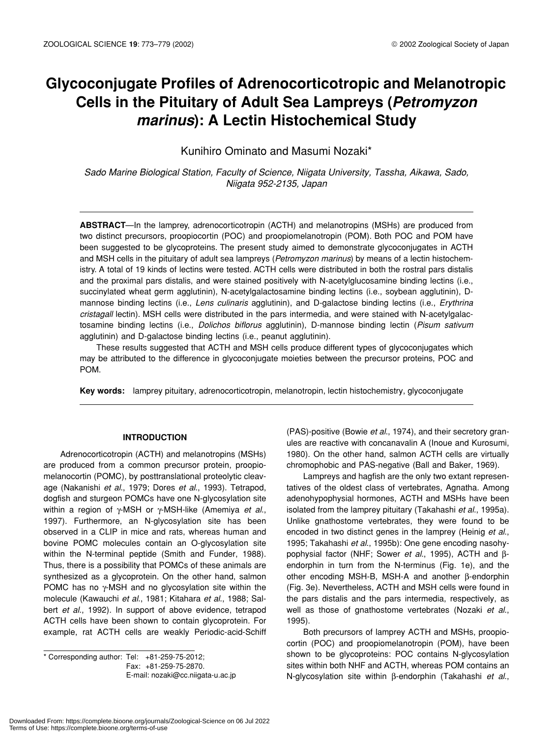# **Glycoconjugate Profiles of Adrenocorticotropic and Melanotropic Cells in the Pituitary of Adult Sea Lampreys (***Petromyzon marinus***): A Lectin Histochemical Study**

Kunihiro Ominato and Masumi Nozaki\*

*Sado Marine Biological Station, Faculty of Science, Niigata University, Tassha, Aikawa, Sado, Niigata 952-2135, Japan*

**ABSTRACT**—In the lamprey, adrenocorticotropin (ACTH) and melanotropins (MSHs) are produced from two distinct precursors, proopiocortin (POC) and proopiomelanotropin (POM). Both POC and POM have been suggested to be glycoproteins. The present study aimed to demonstrate glycoconjugates in ACTH and MSH cells in the pituitary of adult sea lampreys (*Petromyzon marinus*) by means of a lectin histochemistry. A total of 19 kinds of lectins were tested. ACTH cells were distributed in both the rostral pars distalis and the proximal pars distalis, and were stained positively with N-acetylglucosamine binding lectins (i.e., succinylated wheat germ agglutinin), N-acetylgalactosamine binding lectins (i.e., soybean agglutinin), Dmannose binding lectins (i.e., *Lens culinaris* agglutinin), and D-galactose binding lectins (i.e., *Erythrina cristagall* lectin). MSH cells were distributed in the pars intermedia, and were stained with N-acetylgalactosamine binding lectins (i.e., *Dolichos biflorus* agglutinin), D-mannose binding lectin (*Pisum sativum* agglutinin) and D-galactose binding lectins (i.e., peanut agglutinin).

These results suggested that ACTH and MSH cells produce different types of glycoconjugates which may be attributed to the difference in glycoconjugate moieties between the precursor proteins, POC and POM.

**Key words:** lamprey pituitary, adrenocorticotropin, melanotropin, lectin histochemistry, glycoconjugate

# **INTRODUCTION**

Adrenocorticotropin (ACTH) and melanotropins (MSHs) are produced from a common precursor protein, proopiomelanocortin (POMC), by posttranslational proteolytic cleavage (Nakanishi *et al*., 1979; Dores *et al*., 1993). Tetrapod, dogfish and sturgeon POMCs have one N-glycosylation site within a region of γ-MSH or γ-MSH-like (Amemiya *et al*., 1997). Furthermore, an N-glycosylation site has been observed in a CLIP in mice and rats, whereas human and bovine POMC molecules contain an O-glycosylation site within the N-terminal peptide (Smith and Funder, 1988). Thus, there is a possibility that POMCs of these animals are synthesized as a glycoprotein. On the other hand, salmon POMC has no  $\gamma$ -MSH and no glycosylation site within the molecule (Kawauchi *et al*., 1981; Kitahara *et al*., 1988; Salbert *et al*., 1992). In support of above evidence, tetrapod ACTH cells have been shown to contain glycoprotein. For example, rat ACTH cells are weakly Periodic-acid-Schiff

\* Corresponding author: Tel: +81-259-75-2012; Fax: +81-259-75-2870. E-mail: nozaki@cc.niigata-u.ac.jp

(PAS)-positive (Bowie *et al*., 1974), and their secretory granules are reactive with concanavalin A (Inoue and Kurosumi, 1980). On the other hand, salmon ACTH cells are virtually chromophobic and PAS-negative (Ball and Baker, 1969).

Lampreys and hagfish are the only two extant representatives of the oldest class of vertebrates, Agnatha. Among adenohypophysial hormones, ACTH and MSHs have been isolated from the lamprey pituitary (Takahashi *et al*., 1995a). Unlike gnathostome vertebrates, they were found to be encoded in two distinct genes in the lamprey (Heinig *et al*., 1995; Takahashi *et al*., 1995b): One gene encoding nasohypophysial factor (NHF; Sower *et al*., 1995), ACTH and βendorphin in turn from the N-terminus (Fig. 1e), and the other encoding MSH-B, MSH-A and another β-endorphin (Fig. 3e). Nevertheless, ACTH and MSH cells were found in the pars distalis and the pars intermedia, respectively, as well as those of gnathostome vertebrates (Nozaki *et al*., 1995).

Both precursors of lamprey ACTH and MSHs, proopiocortin (POC) and proopiomelanotropin (POM), have been shown to be glycoproteins: POC contains N-glycosylation sites within both NHF and ACTH, whereas POM contains an N-glycosylation site within β-endorphin (Takahashi *et al*.,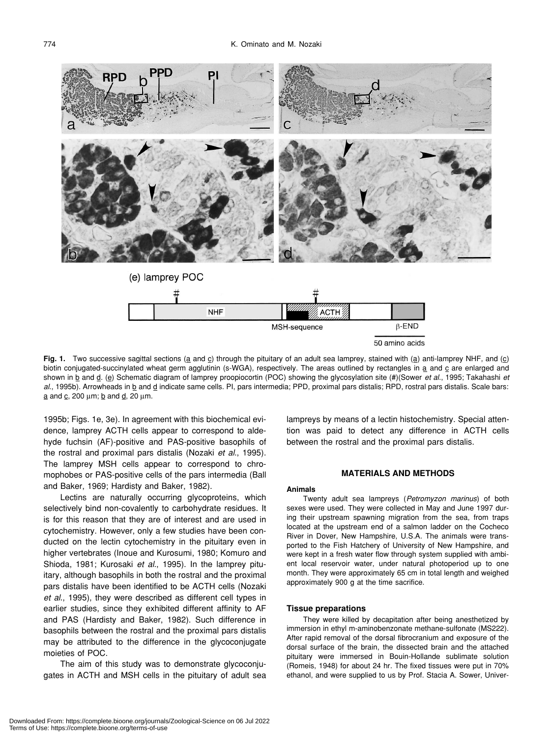

Fig. 1. Two successive sagittal sections (a and c) through the pituitary of an adult sea lamprey, stained with (a) anti-lamprey NHF, and (c) biotin conjugated-succinylated wheat germ agglutinin (s-WGA), respectively. The areas outlined by rectangles in a and c are enlarged and shown in b and d. (e) Schematic diagram of lamprey proopiocortin (POC) showing the glycosylation site (#)(Sower *et al*., 1995; Takahashi *et al*., 1995b). Arrowheads in b and d indicate same cells. PI, pars intermedia; PPD, proximal pars distalis; RPD, rostral pars distalis. Scale bars:  $a$  and  $c$ , 200  $\mu$ m;  $b$  and  $d$ , 20  $\mu$ m.

1995b; Figs. 1e, 3e). In agreement with this biochemical evidence, lamprey ACTH cells appear to correspond to aldehyde fuchsin (AF)-positive and PAS-positive basophils of the rostral and proximal pars distalis (Nozaki *et al*., 1995). The lamprey MSH cells appear to correspond to chromophobes or PAS-positive cells of the pars intermedia (Ball and Baker, 1969; Hardisty and Baker, 1982).

Lectins are naturally occurring glycoproteins, which selectively bind non-covalently to carbohydrate residues. It is for this reason that they are of interest and are used in cytochemistry. However, only a few studies have been conducted on the lectin cytochemistry in the pituitary even in higher vertebrates (Inoue and Kurosumi, 1980; Komuro and Shioda, 1981; Kurosaki *et al*., 1995). In the lamprey pituitary, although basophils in both the rostral and the proximal pars distalis have been identified to be ACTH cells (Nozaki *et al*., 1995), they were described as different cell types in earlier studies, since they exhibited different affinity to AF and PAS (Hardisty and Baker, 1982). Such difference in basophils between the rostral and the proximal pars distalis may be attributed to the difference in the glycoconjugate moieties of POC.

The aim of this study was to demonstrate glycoconjugates in ACTH and MSH cells in the pituitary of adult sea lampreys by means of a lectin histochemistry. Special attention was paid to detect any difference in ACTH cells between the rostral and the proximal pars distalis.

# **MATERIALS AND METHODS**

#### **Animals**

Twenty adult sea lampreys (*Petromyzon marinus*) of both sexes were used. They were collected in May and June 1997 during their upstream spawning migration from the sea, from traps located at the upstream end of a salmon ladder on the Cocheco River in Dover, New Hampshire, U.S.A. The animals were transported to the Fish Hatchery of University of New Hampshire, and were kept in a fresh water flow through system supplied with ambient local reservoir water, under natural photoperiod up to one month. They were approximately 65 cm in total length and weighed approximately 900 g at the time sacrifice.

#### **Tissue preparations**

They were killed by decapitation after being anesthetized by immersion in ethyl m-aminobenzonate methane-sulfonate (MS222). After rapid removal of the dorsal fibrocranium and exposure of the dorsal surface of the brain, the dissected brain and the attached pituitary were immersed in Bouin-Hollande sublimate solution (Romeis, 1948) for about 24 hr. The fixed tissues were put in 70% ethanol, and were supplied to us by Prof. Stacia A. Sower, Univer-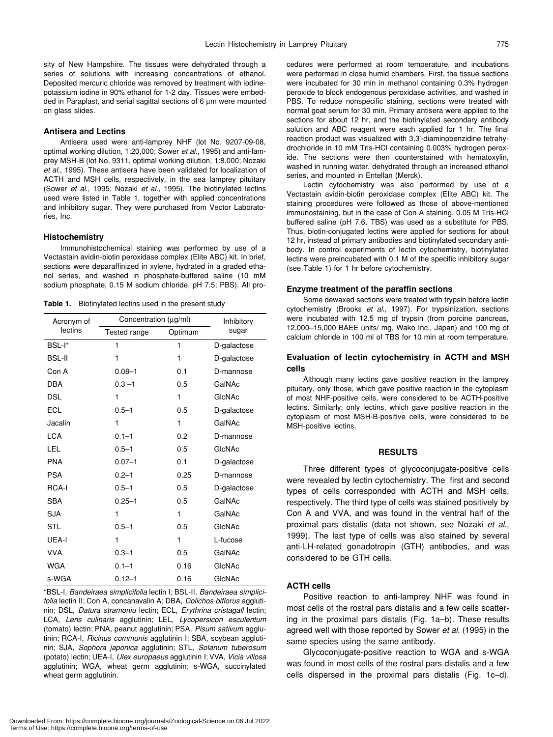sity of New Hampshire. The tissues were dehydrated through a series of solutions with increasing concentrations of ethanol. Deposited mercuric chloride was removed by treatment with iodinepotassium iodine in 90% ethanol for 1-2 day. Tissues were embedded in Paraplast, and serial sagittal sections of 6 µm were mounted on glass slides.

## **Antisera and Lectins**

Antisera used were anti-lamprey NHF (lot No. 9207-09-08, optimal working dilution, 1:20,000; Sower *et al*., 1995) and anti-lamprey MSH-B (lot No. 9311, optimal working dilution, 1:8,000; Nozaki *et al*., 1995). These antisera have been validated for localization of ACTH and MSH cells, respectively, in the sea lamprey pituitary (Sower *et al*., 1995; Nozaki *et al*., 1995). The biotinylated lectins used were listed in Table 1, together with applied concentrations and inhibitory sugar. They were purchased from Vector Laboratories, Inc.

#### **Histochemistry**

Immunohistochemical staining was performed by use of a Vectastain avidin-biotin peroxidase complex (Elite ABC) kit. In brief, sections were deparaffinized in xylene, hydrated in a graded ethanol series, and washed in phosphate-buffered saline (10 mM sodium phosphate, 0.15 M sodium chloride, pH 7.5; PBS). All pro-

**Table 1.** Biotinylated lectins used in the present study

| Acronym of<br>lectins | Concentration (µg/ml) |         | Inhibitory  |
|-----------------------|-----------------------|---------|-------------|
|                       | Tested range          | Optimum | sugar       |
| BSL-I*                | 1                     | 1       | D-galactose |
| <b>BSL-II</b>         | 1                     | 1       | D-galactose |
| Con A                 | $0.08 - 1$            | 0.1     | D-mannose   |
| <b>DBA</b>            | $0.3 - 1$             | 0.5     | GalNAc      |
| <b>DSL</b>            | 1                     | 1       | GIcNAc      |
| <b>ECL</b>            | $0.5 - 1$             | 0.5     | D-galactose |
| Jacalin               | 1                     | 1       | GalNAc      |
| <b>LCA</b>            | $0.1 - 1$             | 0.2     | D-mannose   |
| LEL                   | $0.5 - 1$             | 0.5     | GIcNAc      |
| <b>PNA</b>            | $0.07 - 1$            | 0.1     | D-galactose |
| <b>PSA</b>            | $0.2 - 1$             | 0.25    | D-mannose   |
| <b>RCA-I</b>          | $0.5 - 1$             | 0.5     | D-galactose |
| <b>SBA</b>            | $0.25 - 1$            | 0.5     | GalNAc      |
| <b>SJA</b>            | 1                     | 1       | GalNAc      |
| <b>STL</b>            | $0.5 - 1$             | 0.5     | GIcNAc      |
| UEA-I                 | 1                     | 1       | L-fucose    |
| <b>VVA</b>            | $0.3 - 1$             | 0.5     | GalNAc      |
| <b>WGA</b>            | $0.1 - 1$             | 0.16    | GIcNAc      |
| s-WGA                 | $0.12 - 1$            | 0.16    | GIcNAc      |

\*BSL-I, *Bandeiraea simplicifolia* lectin I; BSL-II, *Bandeiraea simplicifolia* lectin II; Con A, concanavalin A; DBA, *Dolichos biflorus* agglutinin; DSL, *Datura stramoniu* lectin; ECL, *Erythrina cristagall* lectin; LCA, *Lens culinaris* agglutinin; LEL, *Lycopersicon esculentum* (tomato) lectin; PNA, peanut agglutinin; PSA, *Pisum sativum* agglutinin; RCA-I, *Ricinus communis* agglutinin I; SBA, soybean agglutinin; SJA, *Sophora japonica* agglutinin; STL, *Solanum tuberosum* (potato) lectin; UEA-I, *Ulex europaeus* agglutinin I; VVA, *Vicia villosa* agglutinin; WGA, wheat germ agglutinin; s-WGA, succinylated wheat germ agglutinin.

cedures were performed at room temperature, and incubations were performed in close humid chambers. First, the tissue sections were incubated for 30 min in methanol containing 0.3% hydrogen peroxide to block endogenous peroxidase activities, and washed in PBS. To reduce nonspecific staining, sections were treated with normal goat serum for 30 min. Primary antisera were applied to the sections for about 12 hr, and the biotinylated secondary antibody solution and ABC reagent were each applied for 1 hr. The final reaction product was visualized with 3,3'-diaminobenzidine tetrahydrochloride in 10 mM Tris-HCl containing 0.003% hydrogen peroxide. The sections were then counterstained with hematoxylin, washed in running water, dehydrated through an increased ethanol series, and mounted in Entellan (Merck). Lectin cytochemistry was also performed by use of a

Vectastain avidin-biotin peroxidase complex (Elite ABC) kit. The staining procedures were followed as those of above-mentioned immunostaining, but in the case of Con A staining, 0.05 M Tris-HCl buffered saline (pH 7.6, TBS) was used as a substitute for PBS. Thus, biotin-conjugated lectins were applied for sections for about 12 hr, instead of primary antibodies and biotinylated secondary antibody. In control experiments of lectin cytochemistry, biotinylated lectins were preincubated with 0.1 M of the specific inhibitory sugar (see Table 1) for 1 hr before cytochemistry.

#### **Enzyme treatment of the paraffin sections**

Some dewaxed sections were treated with trypsin before lectin cytochemistry (Brooks *et al*., 1997). For trypsinization, sections were incubated with 12.5 mg of trypsin (from porcine pancreas, 12,000–15,000 BAEE units/ mg, Wako Inc., Japan) and 100 mg of calcium chloride in 100 ml of TBS for 10 min at room temperature.

# **Evaluation of lectin cytochemistry in ACTH and MSH cells**

Although many lectins gave positive reaction in the lamprey pituitary, only those, which gave positive reaction in the cytoplasm of most NHF-positive cells, were considered to be ACTH-positive lectins. Similarly, only lectins, which gave positive reaction in the cytoplasm of most MSH-B-positive cells, were considered to be MSH-positive lectins.

# **RESULTS**

Three different types of glycoconjugate-positive cells were revealed by lectin cytochemistry. The first and second types of cells corresponded with ACTH and MSH cells, respectively. The third type of cells was stained positively by Con A and VVA, and was found in the ventral half of the proximal pars distalis (data not shown, see Nozaki *et al*., 1999). The last type of cells was also stained by several anti-LH-related gonadotropin (GTH) antibodies, and was considered to be GTH cells.

# **ACTH cells**

Positive reaction to anti-lamprey NHF was found in most cells of the rostral pars distalis and a few cells scattering in the proximal pars distalis (Fig. 1a–b). These results agreed well with those reported by Sower *et al*. (1995) in the same species using the same antibody.

Glycoconjugate-positive reaction to WGA and s-WGA was found in most cells of the rostral pars distalis and a few cells dispersed in the proximal pars distalis (Fig. 1c–d).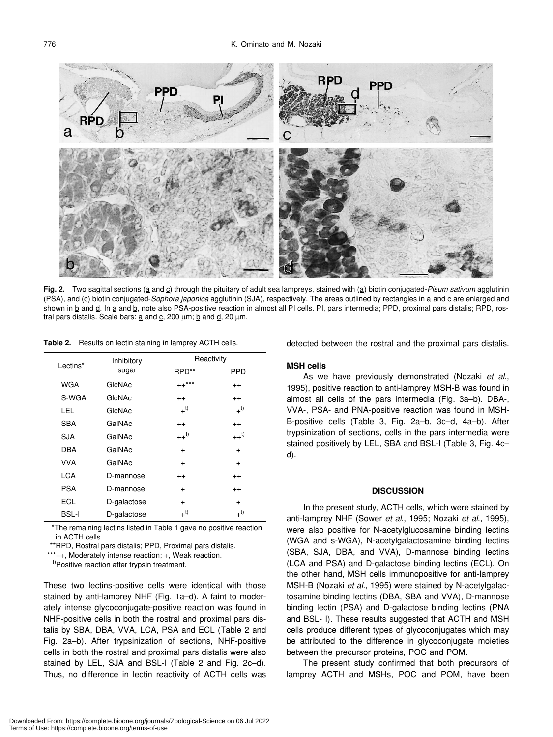

Fig. 2. Two sagittal sections (a and c) through the pituitary of adult sea lampreys, stained with (a) biotin conjugated-Pisum sativum agglutinin (PSA), and (c) biotin conjugated-*Sophora japonica* agglutinin (SJA), respectively. The areas outlined by rectangles in a and c are enlarged and shown in b and d. In a and b, note also PSA-positive reaction in almost all PI cells. PI, pars intermedia; PPD, proximal pars distalis; RPD, rostral pars distalis. Scale bars:  $\underline{a}$  and  $\underline{c}$ , 200  $\mu$ m;  $\underline{b}$  and  $\underline{d}$ , 20  $\mu$ m.

**Table 2.** Results on lectin staining in lamprey ACTH cells.

| Lectins*     | Inhibitory<br>sugar | Reactivity             |                    |
|--------------|---------------------|------------------------|--------------------|
|              |                     | RPD**                  | <b>PPD</b>         |
| <b>WGA</b>   | GIcNAc              | $++^{\star\star\star}$ | $^{++}$            |
| S-WGA        | GIcNAc              | $^{++}$                | $^{++}$            |
| LEL.         | GIcNAc              | $+^{t)}$               | $+^{t)}$           |
| <b>SBA</b>   | GalNAc              | $^{++}$                | $^{++}$            |
| <b>SJA</b>   | GalNAc              | $++$ <sup>t)</sup>     | $++$ <sup>t)</sup> |
| <b>DBA</b>   | GalNAc              | $+$                    | $+$                |
| <b>VVA</b>   | GalNAc              | $+$                    | $\ddot{}$          |
| <b>LCA</b>   | D-mannose           | $^{++}$                | $^{++}$            |
| <b>PSA</b>   | D-mannose           | $+$                    | $^{++}$            |
| <b>ECL</b>   | D-galactose         | $+$                    | $+$                |
| <b>BSL-I</b> | D-galactose         | $+$ <sup>t)</sup>      | $+^{t)}$           |

\*The remaining lectins listed in Table 1 gave no positive reaction in ACTH cells.

\*\*RPD, Rostral pars distalis; PPD, Proximal pars distalis.

\*\*\*++, Moderately intense reaction; +, Weak reaction.

t)Positive reaction after trypsin treatment.

These two lectins-positive cells were identical with those stained by anti-lamprey NHF (Fig. 1a–d). A faint to moderately intense glycoconjugate-positive reaction was found in NHF-positive cells in both the rostral and proximal pars distalis by SBA, DBA, VVA, LCA, PSA and ECL (Table 2 and Fig. 2a–b). After trypsinization of sections, NHF-positive cells in both the rostral and proximal pars distalis were also stained by LEL, SJA and BSL-I (Table 2 and Fig. 2c–d). Thus, no difference in lectin reactivity of ACTH cells was detected between the rostral and the proximal pars distalis.

# **MSH cells**

As we have previously demonstrated (Nozaki *et al*., 1995), positive reaction to anti-lamprey MSH-B was found in almost all cells of the pars intermedia (Fig. 3a–b). DBA-, VVA-, PSA- and PNA-positive reaction was found in MSH-B-positive cells (Table 3, Fig. 2a–b, 3c–d, 4a–b). After trypsinization of sections, cells in the pars intermedia were stained positively by LEL, SBA and BSL-I (Table 3, Fig. 4c– d).

## **DISCUSSION**

In the present study, ACTH cells, which were stained by anti-lamprey NHF (Sower *et al*., 1995; Nozaki *et al*., 1995), were also positive for N-acetylglucosamine binding lectins (WGA and s-WGA), N-acetylgalactosamine binding lectins (SBA, SJA, DBA, and VVA), D-mannose binding lectins (LCA and PSA) and D-galactose binding lectins (ECL). On the other hand, MSH cells immunopositive for anti-lamprey MSH-B (Nozaki *et al*., 1995) were stained by N-acetylgalactosamine binding lectins (DBA, SBA and VVA), D-mannose binding lectin (PSA) and D-galactose binding lectins (PNA and BSL- I). These results suggested that ACTH and MSH cells produce different types of glycoconjugates which may be attributed to the difference in glycoconjugate moieties between the precursor proteins, POC and POM.

The present study confirmed that both precursors of lamprey ACTH and MSHs, POC and POM, have been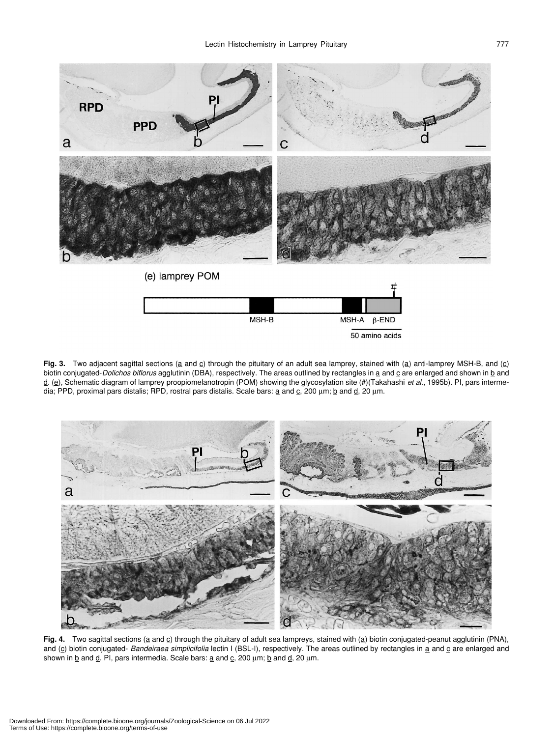

Fig. 3. Two adjacent sagittal sections (a and c) through the pituitary of an adult sea lamprey, stained with (a) anti-lamprey MSH-B, and (c) biotin conjugated-*Dolichos biflorus* agglutinin (DBA), respectively. The areas outlined by rectangles in a and c are enlarged and shown in b and d. (e), Schematic diagram of lamprey proopiomelanotropin (POM) showing the glycosylation site (#)(Takahashi *et al*., 1995b). PI, pars intermedia; PPD, proximal pars distalis; RPD, rostral pars distalis. Scale bars:  $\underline{a}$  and  $\underline{c}$ , 200  $\mu$ m;  $\underline{b}$  and  $\underline{d}$ , 20  $\mu$ m.



Fig. 4. Two sagittal sections (a and c) through the pituitary of adult sea lampreys, stained with (a) biotin conjugated-peanut agglutinin (PNA), and (c) biotin conjugated- *Bandeiraea simplicifolia* lectin I (BSL-I), respectively. The areas outlined by rectangles in a and c are enlarged and shown in  $\underline{b}$  and  $\underline{d}$ . PI, pars intermedia. Scale bars:  $\underline{a}$  and  $\underline{c}$ , 200  $\mu$ m;  $\underline{b}$  and  $\underline{d}$ , 20  $\mu$ m.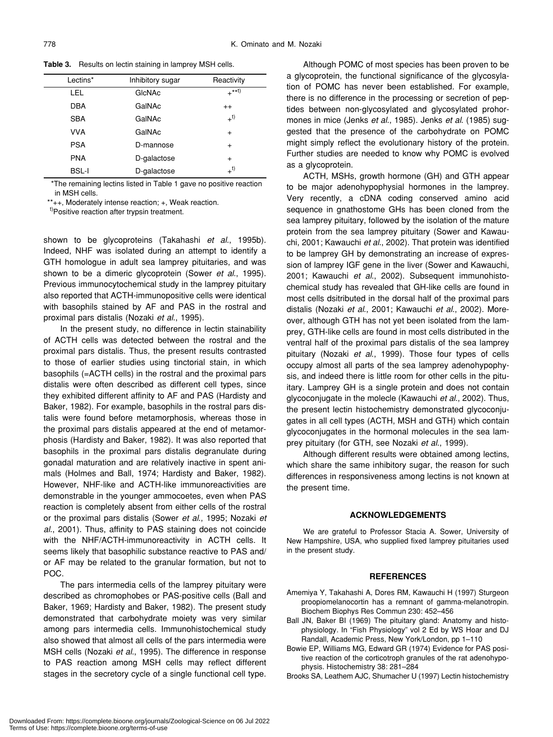| Lectins*     | Inhibitory sugar | Reactivity |
|--------------|------------------|------------|
| LEL          | GIcNAc           | $+***$     |
| <b>DBA</b>   | GalNAc           | $++$       |
| <b>SBA</b>   | GalNAc           | $+^{t)}$   |
| <b>VVA</b>   | GalNAc           | $\ddot{}$  |
| <b>PSA</b>   | D-mannose        | $\ddot{}$  |
| <b>PNA</b>   | D-galactose      | $\ddot{}$  |
| <b>BSL-I</b> | D-galactose      | $+^{t)}$   |

**Table 3.** Results on lectin staining in lamprey MSH cells.

\*The remaining lectins listed in Table 1 gave no positive reaction in MSH cells.

\*\*++, Moderately intense reaction; +, Weak reaction.

t)Positive reaction after trypsin treatment.

shown to be glycoproteins (Takahashi *et al*., 1995b). Indeed, NHF was isolated during an attempt to identify a GTH homologue in adult sea lamprey pituitaries, and was shown to be a dimeric glycoprotein (Sower *et al*., 1995). Previous immunocytochemical study in the lamprey pituitary also reported that ACTH-immunopositive cells were identical with basophils stained by AF and PAS in the rostral and proximal pars distalis (Nozaki *et al*., 1995).

In the present study, no difference in lectin stainability of ACTH cells was detected between the rostral and the proximal pars distalis. Thus, the present results contrasted to those of earlier studies using tinctorial stain, in which basophils (=ACTH cells) in the rostral and the proximal pars distalis were often described as different cell types, since they exhibited different affinity to AF and PAS (Hardisty and Baker, 1982). For example, basophils in the rostral pars distalis were found before metamorphosis, whereas those in the proximal pars distalis appeared at the end of metamorphosis (Hardisty and Baker, 1982). It was also reported that basophils in the proximal pars distalis degranulate during gonadal maturation and are relatively inactive in spent animals (Holmes and Ball, 1974; Hardisty and Baker, 1982). However, NHF-like and ACTH-like immunoreactivities are demonstrable in the younger ammocoetes, even when PAS reaction is completely absent from either cells of the rostral or the proximal pars distalis (Sower *et al*., 1995; Nozaki *et al*., 2001). Thus, affinity to PAS staining does not coincide with the NHF/ACTH-immunoreactivity in ACTH cells. It seems likely that basophilic substance reactive to PAS and/ or AF may be related to the granular formation, but not to POC.

The pars intermedia cells of the lamprey pituitary were described as chromophobes or PAS-positive cells (Ball and Baker, 1969; Hardisty and Baker, 1982). The present study demonstrated that carbohydrate moiety was very similar among pars intermedia cells. Immunohistochemical study also showed that almost all cells of the pars intermedia were MSH cells (Nozaki *et al*., 1995). The difference in response to PAS reaction among MSH cells may reflect different stages in the secretory cycle of a single functional cell type.

Although POMC of most species has been proven to be a glycoprotein, the functional significance of the glycosylation of POMC has never been established. For example, there is no difference in the processing or secretion of peptides between non-glycosylated and glycosylated prohormones in mice (Jenks *et al*., 1985). Jenks *et al*. (1985) suggested that the presence of the carbohydrate on POMC might simply reflect the evolutionary history of the protein. Further studies are needed to know why POMC is evolved as a glycoprotein.

ACTH, MSHs, growth hormone (GH) and GTH appear to be major adenohypophysial hormones in the lamprey. Very recently, a cDNA coding conserved amino acid sequence in gnathostome GHs has been cloned from the sea lamprey pituitary, followed by the isolation of the mature protein from the sea lamprey pituitary (Sower and Kawauchi, 2001; Kawauchi *et al*., 2002). That protein was identified to be lamprey GH by demonstrating an increase of expression of lamprey IGF gene in the liver (Sower and Kawauchi, 2001; Kawauchi *et al*., 2002). Subsequent immunohistochemical study has revealed that GH-like cells are found in most cells dsitributed in the dorsal half of the proximal pars distalis (Nozaki *et al*., 2001; Kawauchi *et al*., 2002). Moreover, although GTH has not yet been isolated from the lamprey, GTH-like cells are found in most cells distributed in the ventral half of the proximal pars distalis of the sea lamprey pituitary (Nozaki *et al*., 1999). Those four types of cells occupy almost all parts of the sea lamprey adenohypophysis, and indeed there is little room for other cells in the pituitary. Lamprey GH is a single protein and does not contain glycoconjugate in the molecle (Kawauchi *et al*., 2002). Thus, the present lectin histochemistry demonstrated glycoconjugates in all cell types (ACTH, MSH and GTH) which contain glycoconjugates in the hormonal molecules in the sea lamprey pituitary (for GTH, see Nozaki *et al*., 1999).

Although different results were obtained among lectins, which share the same inhibitory sugar, the reason for such differences in responsiveness among lectins is not known at the present time.

#### **ACKNOWLEDGEMENTS**

We are grateful to Professor Stacia A. Sower, University of New Hampshire, USA, who supplied fixed lamprey pituitaries used in the present study.

#### **REFERENCES**

- Amemiya Y, Takahashi A, Dores RM, Kawauchi H (1997) Sturgeon proopiomelanocortin has a remnant of gamma-melanotropin. Biochem Biophys Res Commun 230: 452–456
- Ball JN, Baker BI (1969) The pituitary gland: Anatomy and histophysiology. In "Fish Physiology" vol 2 Ed by WS Hoar and DJ Randall, Academic Press, New York/London, pp 1–110
- Bowie EP, Williams MG, Edward GR (1974) Evidence for PAS positive reaction of the corticotroph granules of the rat adenohypophysis. Histochemistry 38: 281–284
- Brooks SA, Leathem AJC, Shumacher U (1997) Lectin histochemistry